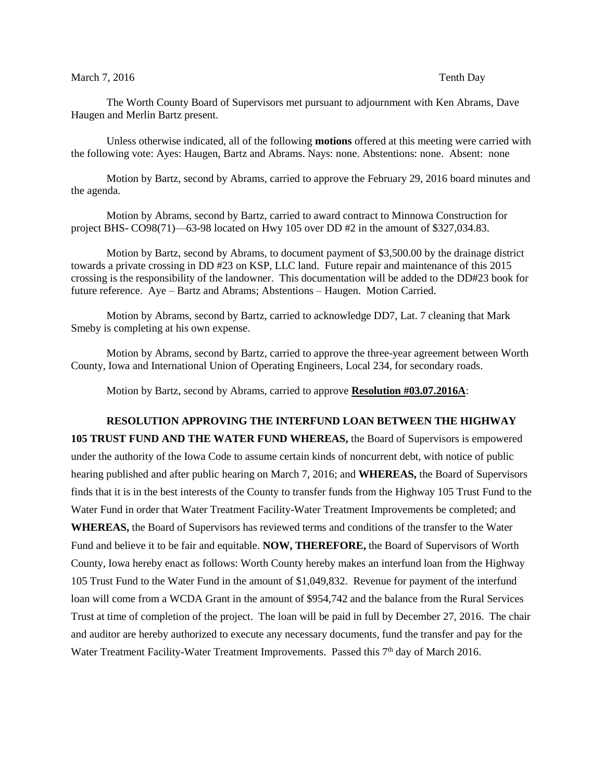## March 7, 2016 **Tenth Day**

The Worth County Board of Supervisors met pursuant to adjournment with Ken Abrams, Dave Haugen and Merlin Bartz present.

Unless otherwise indicated, all of the following **motions** offered at this meeting were carried with the following vote: Ayes: Haugen, Bartz and Abrams. Nays: none. Abstentions: none. Absent: none

Motion by Bartz, second by Abrams, carried to approve the February 29, 2016 board minutes and the agenda.

Motion by Abrams, second by Bartz, carried to award contract to Minnowa Construction for project BHS- CO98(71)—63-98 located on Hwy 105 over DD #2 in the amount of \$327,034.83.

Motion by Bartz, second by Abrams, to document payment of \$3,500.00 by the drainage district towards a private crossing in DD #23 on KSP, LLC land. Future repair and maintenance of this 2015 crossing is the responsibility of the landowner. This documentation will be added to the DD#23 book for future reference. Aye – Bartz and Abrams; Abstentions – Haugen. Motion Carried.

Motion by Abrams, second by Bartz, carried to acknowledge DD7, Lat. 7 cleaning that Mark Smeby is completing at his own expense.

Motion by Abrams, second by Bartz, carried to approve the three-year agreement between Worth County, Iowa and International Union of Operating Engineers, Local 234, for secondary roads.

Motion by Bartz, second by Abrams, carried to approve **Resolution #03.07.2016A**:

**RESOLUTION APPROVING THE INTERFUND LOAN BETWEEN THE HIGHWAY 105 TRUST FUND AND THE WATER FUND WHEREAS,** the Board of Supervisors is empowered under the authority of the Iowa Code to assume certain kinds of noncurrent debt, with notice of public hearing published and after public hearing on March 7, 2016; and **WHEREAS,** the Board of Supervisors finds that it is in the best interests of the County to transfer funds from the Highway 105 Trust Fund to the Water Fund in order that Water Treatment Facility-Water Treatment Improvements be completed; and **WHEREAS,** the Board of Supervisors has reviewed terms and conditions of the transfer to the Water Fund and believe it to be fair and equitable. **NOW, THEREFORE,** the Board of Supervisors of Worth County, Iowa hereby enact as follows: Worth County hereby makes an interfund loan from the Highway 105 Trust Fund to the Water Fund in the amount of \$1,049,832. Revenue for payment of the interfund loan will come from a WCDA Grant in the amount of \$954,742 and the balance from the Rural Services Trust at time of completion of the project. The loan will be paid in full by December 27, 2016. The chair and auditor are hereby authorized to execute any necessary documents, fund the transfer and pay for the Water Treatment Facility-Water Treatment Improvements. Passed this 7<sup>th</sup> day of March 2016.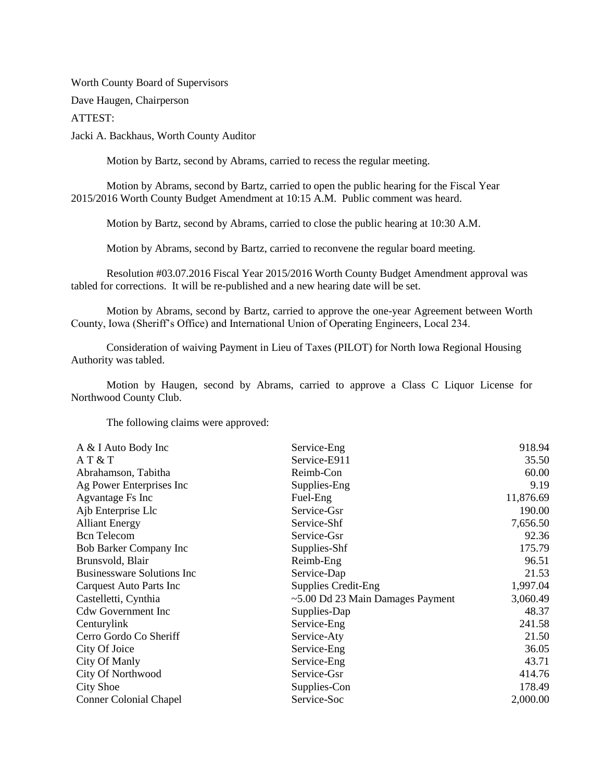Worth County Board of Supervisors

Dave Haugen, Chairperson

ATTEST:

Jacki A. Backhaus, Worth County Auditor

Motion by Bartz, second by Abrams, carried to recess the regular meeting.

Motion by Abrams, second by Bartz, carried to open the public hearing for the Fiscal Year 2015/2016 Worth County Budget Amendment at 10:15 A.M. Public comment was heard.

Motion by Bartz, second by Abrams, carried to close the public hearing at 10:30 A.M.

Motion by Abrams, second by Bartz, carried to reconvene the regular board meeting.

Resolution #03.07.2016 Fiscal Year 2015/2016 Worth County Budget Amendment approval was tabled for corrections. It will be re-published and a new hearing date will be set.

Motion by Abrams, second by Bartz, carried to approve the one-year Agreement between Worth County, Iowa (Sheriff's Office) and International Union of Operating Engineers, Local 234.

Consideration of waiving Payment in Lieu of Taxes (PILOT) for North Iowa Regional Housing Authority was tabled.

Motion by Haugen, second by Abrams, carried to approve a Class C Liquor License for Northwood County Club.

The following claims were approved:

| A & I Auto Body Inc               | Service-Eng                      | 918.94    |
|-----------------------------------|----------------------------------|-----------|
| AT & T                            | Service-E911                     | 35.50     |
| Abrahamson, Tabitha               | Reimb-Con                        | 60.00     |
| Ag Power Enterprises Inc          | Supplies-Eng                     | 9.19      |
| <b>Agvantage Fs Inc</b>           | Fuel-Eng                         | 11,876.69 |
| Ajb Enterprise Llc                | Service-Gsr                      | 190.00    |
| <b>Alliant Energy</b>             | Service-Shf                      | 7,656.50  |
| <b>Bcn</b> Telecom                | Service-Gsr                      | 92.36     |
| Bob Barker Company Inc            | Supplies-Shf                     | 175.79    |
| Brunsvold, Blair                  | Reimb-Eng                        | 96.51     |
| <b>Businessware Solutions Inc</b> | Service-Dap                      | 21.53     |
| Carquest Auto Parts Inc           | <b>Supplies Credit-Eng</b>       | 1,997.04  |
| Castelletti, Cynthia              | ~5.00 Dd 23 Main Damages Payment | 3,060.49  |
| <b>Cdw Government Inc</b>         | Supplies-Dap                     | 48.37     |
| Centurylink                       | Service-Eng                      | 241.58    |
| Cerro Gordo Co Sheriff            | Service-Aty                      | 21.50     |
| City Of Joice                     | Service-Eng                      | 36.05     |
| City Of Manly                     | Service-Eng                      | 43.71     |
| City Of Northwood                 | Service-Gsr                      | 414.76    |
| City Shoe                         | Supplies-Con                     | 178.49    |
| <b>Conner Colonial Chapel</b>     | Service-Soc                      | 2,000.00  |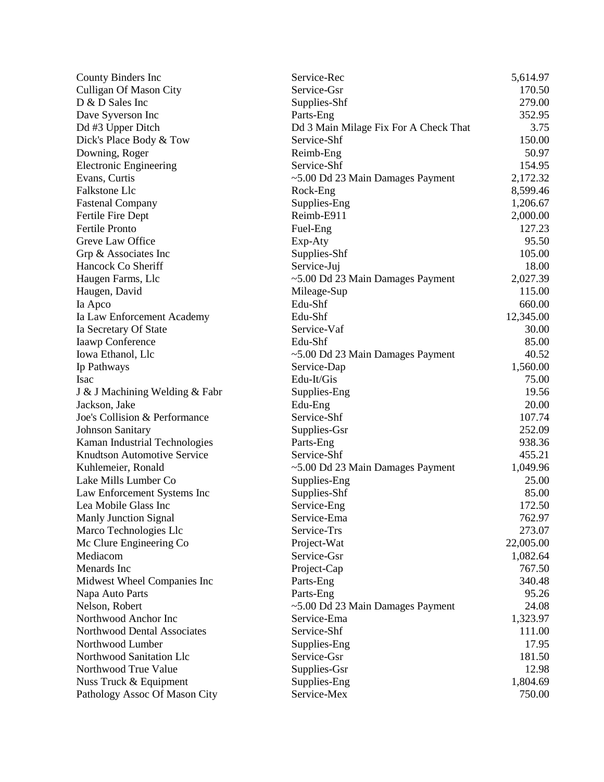| County Binders Inc                 | Service-Rec                           | 5,614.97  |
|------------------------------------|---------------------------------------|-----------|
| <b>Culligan Of Mason City</b>      | Service-Gsr                           | 170.50    |
| D & D Sales Inc                    | Supplies-Shf                          | 279.00    |
| Dave Syverson Inc                  | Parts-Eng                             | 352.95    |
| Dd #3 Upper Ditch                  | Dd 3 Main Milage Fix For A Check That | 3.75      |
| Dick's Place Body & Tow            | Service-Shf                           | 150.00    |
| Downing, Roger                     | Reimb-Eng                             | 50.97     |
| <b>Electronic Engineering</b>      | Service-Shf                           | 154.95    |
| Evans, Curtis                      | ~5.00 Dd 23 Main Damages Payment      | 2,172.32  |
| Falkstone Llc                      | Rock-Eng                              | 8,599.46  |
| <b>Fastenal Company</b>            | Supplies-Eng                          | 1,206.67  |
| Fertile Fire Dept                  | Reimb-E911                            | 2,000.00  |
| <b>Fertile Pronto</b>              | Fuel-Eng                              | 127.23    |
| Greve Law Office                   | Exp-Aty                               | 95.50     |
| Grp & Associates Inc               | Supplies-Shf                          | 105.00    |
| Hancock Co Sheriff                 | Service-Juj                           | 18.00     |
| Haugen Farms, Llc                  | ~5.00 Dd 23 Main Damages Payment      | 2,027.39  |
| Haugen, David                      | Mileage-Sup                           | 115.00    |
| Ia Apco                            | Edu-Shf                               | 660.00    |
| Ia Law Enforcement Academy         | Edu-Shf                               | 12,345.00 |
| Ia Secretary Of State              | Service-Vaf                           | 30.00     |
| Iaawp Conference                   | Edu-Shf                               | 85.00     |
| Iowa Ethanol, Llc                  | ~5.00 Dd 23 Main Damages Payment      | 40.52     |
| Ip Pathways                        | Service-Dap                           | 1,560.00  |
| <b>Isac</b>                        | Edu-It/Gis                            | 75.00     |
| J & J Machining Welding & Fabr     | Supplies-Eng                          | 19.56     |
| Jackson, Jake                      | Edu-Eng                               | 20.00     |
| Joe's Collision & Performance      | Service-Shf                           | 107.74    |
| <b>Johnson Sanitary</b>            | Supplies-Gsr                          | 252.09    |
| Kaman Industrial Technologies      | Parts-Eng                             | 938.36    |
| <b>Knudtson Automotive Service</b> | Service-Shf                           | 455.21    |
| Kuhlemeier, Ronald                 | ~5.00 Dd 23 Main Damages Payment      | 1,049.96  |
| Lake Mills Lumber Co               | Supplies-Eng                          | 25.00     |
| Law Enforcement Systems Inc        | Supplies-Shf                          | 85.00     |
| Lea Mobile Glass Inc               | Service-Eng                           | 172.50    |
| Manly Junction Signal              | Service-Ema                           | 762.97    |
| Marco Technologies Llc             | Service-Trs                           | 273.07    |
| Mc Clure Engineering Co            | Project-Wat                           | 22,005.00 |
| Mediacom                           | Service-Gsr                           | 1,082.64  |
| Menards Inc                        | Project-Cap                           | 767.50    |
| Midwest Wheel Companies Inc        | Parts-Eng                             | 340.48    |
| Napa Auto Parts                    | Parts-Eng                             | 95.26     |
| Nelson, Robert                     | ~5.00 Dd 23 Main Damages Payment      | 24.08     |
| Northwood Anchor Inc               | Service-Ema                           | 1,323.97  |
| Northwood Dental Associates        | Service-Shf                           | 111.00    |
| Northwood Lumber                   | Supplies-Eng                          | 17.95     |
| Northwood Sanitation Llc           | Service-Gsr                           | 181.50    |
| Northwood True Value               | Supplies-Gsr                          | 12.98     |
| Nuss Truck & Equipment             | Supplies-Eng                          | 1,804.69  |
| Pathology Assoc Of Mason City      | Service-Mex                           | 750.00    |
|                                    |                                       |           |